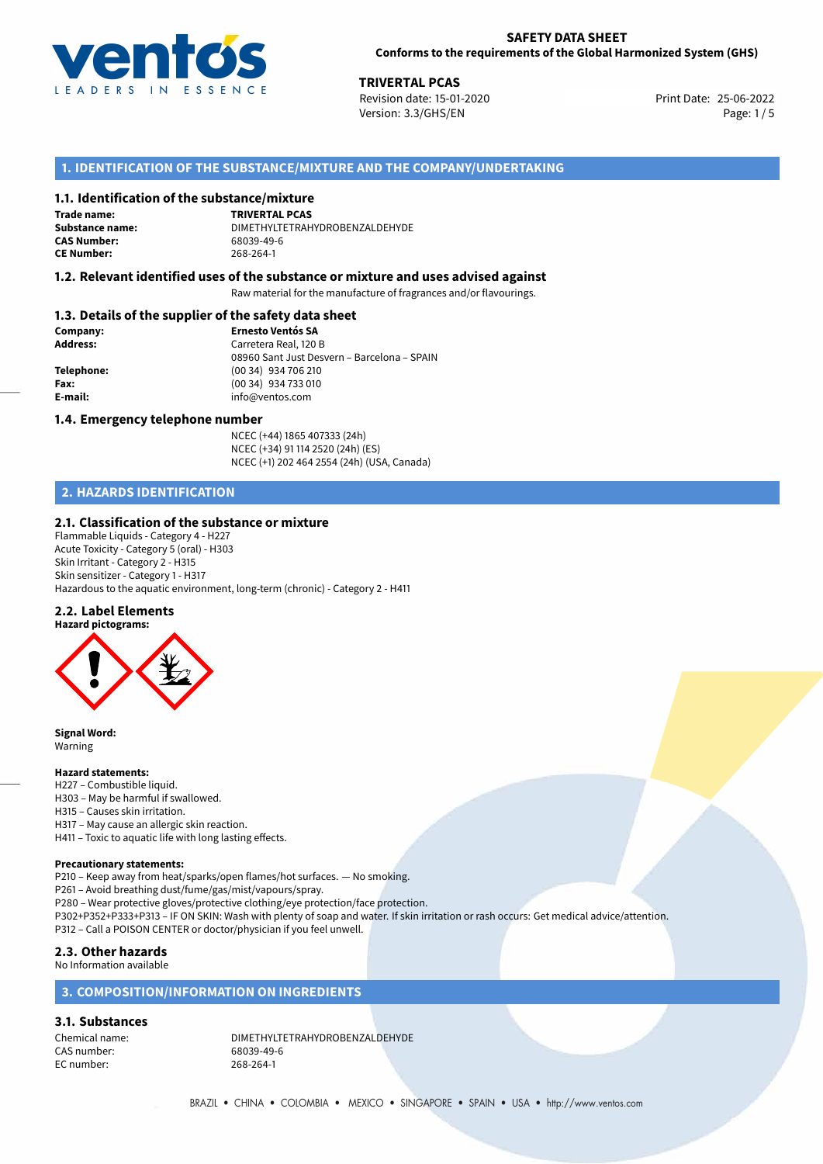

25-06-2022 **TRIVERTAL PCAS** Revision date: 15-01-2020 Print Date: Version: 3.3/GHS/EN Page: 1/5

# **1. IDENTIFICATION OF THE SUBSTANCE/MIXTURE AND THE COMPANY/UNDERTAKING**

### **1.1. Identification of the substance/mixture**

**Trade name: CAS Number: CE Number:** 268-264-1

**TRIVERTAL PCAS Substance name:** DIMETHYLTETRAHYDROBENZALDEHYDE

#### **1.2. Relevant identified uses of the substance or mixture and uses advised against**

Raw material for the manufacture of fragrances and/or flavourings.

# **1.3. Details of the supplier of the safety data sheet**

| Company:        | <b>Ernesto Ventós SA</b>                    |
|-----------------|---------------------------------------------|
| <b>Address:</b> | Carretera Real, 120 B                       |
|                 | 08960 Sant Just Desvern - Barcelona - SPAIN |
| Telephone:      | (00 34) 934 706 210                         |
| Fax:            | (00 34) 934 733 010                         |
| E-mail:         | info@ventos.com                             |
|                 |                                             |

#### **1.4. Emergency telephone number**

NCEC (+44) 1865 407333 (24h) NCEC (+34) 91 114 2520 (24h) (ES) NCEC (+1) 202 464 2554 (24h) (USA, Canada)

# **2. HAZARDS IDENTIFICATION**

### **2.1. Classification of the substance or mixture**

Flammable Liquids - Category 4 - H227 Acute Toxicity - Category 5 (oral) - H303 Skin Irritant - Category 2 - H315 Skin sensitizer - Category 1 - H317 Hazardous to the aquatic environment, long-term (chronic) - Category 2 - H411

#### **2.2. Label Elements**



**Signal Word:** Warning

#### **Hazard statements:**

- H227 Combustible liquid.
- H303 May be harmful if swallowed.
- H315 Causes skin irritation.
- H317 May cause an allergic skin reaction.
- H411 Toxic to aquatic life with long lasting effects.

#### **Precautionary statements:**

P210 – Keep away from heat/sparks/open flames/hot surfaces. — No smoking.

- P261 Avoid breathing dust/fume/gas/mist/vapours/spray.
- P280 Wear protective gloves/protective clothing/eye protection/face protection.
- P302+P352+P333+P313 IF ON SKIN: Wash with plenty of soap and water. If skin irritation or rash occurs: Get medical advice/attention.
- P312 Call a POISON CENTER or doctor/physician if you feel unwell.

# **2.3. Other hazards**

No Information available

# **3. COMPOSITION/INFORMATION ON INGREDIENTS**

# **3.1. Substances**

CAS number: EC number: 268-264-1

Chemical name: DIMETHYLTETRAHYDROBENZALDEHYDE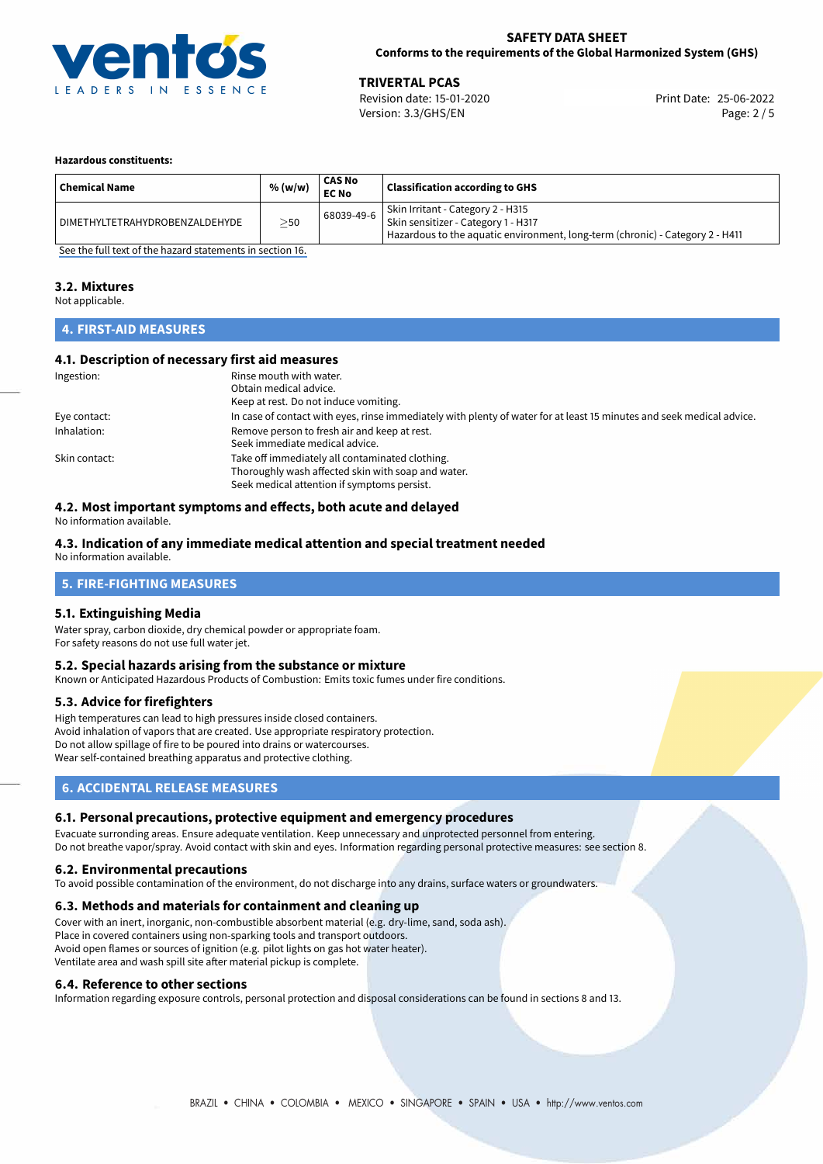

**TRIVERTAL PCAS**<br>
Revision date: 15-01-2020 **Print Date: 25-06-2022** Version: 3.3/GHS/EN Page: 2 / 5

#### **Hazardous constituents:**

| <b>Chemical Name</b>           | % (w/w)  | CAS No<br><b>EC No</b> | <b>Classification according to GHS</b>                                                                                                                    |
|--------------------------------|----------|------------------------|-----------------------------------------------------------------------------------------------------------------------------------------------------------|
| DIMETHYLTETRAHYDROBENZALDEHYDE | $>_{50}$ | 68039-49-6             | Skin Irritant - Category 2 - H315<br>Skin sensitizer - Category 1 - H317<br>Hazardous to the aquatic environment, long-term (chronic) - Category 2 - H411 |

[See the full text of the hazard statements in section 16.](#page-4-0)

#### **3.2. Mixtures**

Not applicable.

# **4. FIRST-AID MEASURES**

## **4.1. Description of necessary first aid measures**

| Ingestion:    | Rinse mouth with water.                                                                                               |
|---------------|-----------------------------------------------------------------------------------------------------------------------|
|               | Obtain medical advice.                                                                                                |
|               | Keep at rest. Do not induce vomiting.                                                                                 |
| Eye contact:  | In case of contact with eyes, rinse immediately with plenty of water for at least 15 minutes and seek medical advice. |
| Inhalation:   | Remove person to fresh air and keep at rest.                                                                          |
|               | Seek immediate medical advice.                                                                                        |
| Skin contact: | Take off immediately all contaminated clothing.                                                                       |
|               | Thoroughly wash affected skin with soap and water.                                                                    |
|               | Seek medical attention if symptoms persist.                                                                           |

# **4.2. Most important symptoms and effects, both acute and delayed**

No information available.

### **4.3. Indication of any immediate medical attention and special treatment needed**

No information available.

# **5. FIRE-FIGHTING MEASURES**

### **5.1. Extinguishing Media**

Water spray, carbon dioxide, dry chemical powder or appropriate foam. For safety reasons do not use full water jet.

#### **5.2. Special hazards arising from the substance or mixture**

Known or Anticipated Hazardous Products of Combustion: Emits toxic fumes under fire conditions.

#### **5.3. Advice for firefighters**

High temperatures can lead to high pressures inside closed containers. Avoid inhalation of vapors that are created. Use appropriate respiratory protection. Do not allow spillage of fire to be poured into drains or watercourses. Wear self-contained breathing apparatus and protective clothing.

# **6. ACCIDENTAL RELEASE MEASURES**

#### **6.1. Personal precautions, protective equipment and emergency procedures**

Evacuate surronding areas. Ensure adequate ventilation. Keep unnecessary and unprotected personnel from entering. Do not breathe vapor/spray. Avoid contact with skin and eyes. Information regarding personal protective measures: see section 8.

#### **6.2. Environmental precautions**

To avoid possible contamination of the environment, do not discharge into any drains, surface waters or groundwaters.

#### **6.3. Methods and materials for containment and cleaning up**

Cover with an inert, inorganic, non-combustible absorbent material (e.g. dry-lime, sand, soda ash). Place in covered containers using non-sparking tools and transport outdoors. Avoid open flames or sources of ignition (e.g. pilot lights on gas hot water heater). Ventilate area and wash spill site after material pickup is complete.

#### **6.4. Reference to other sections**

Information regarding exposure controls, personal protection and disposal considerations can be found in sections 8 and 13.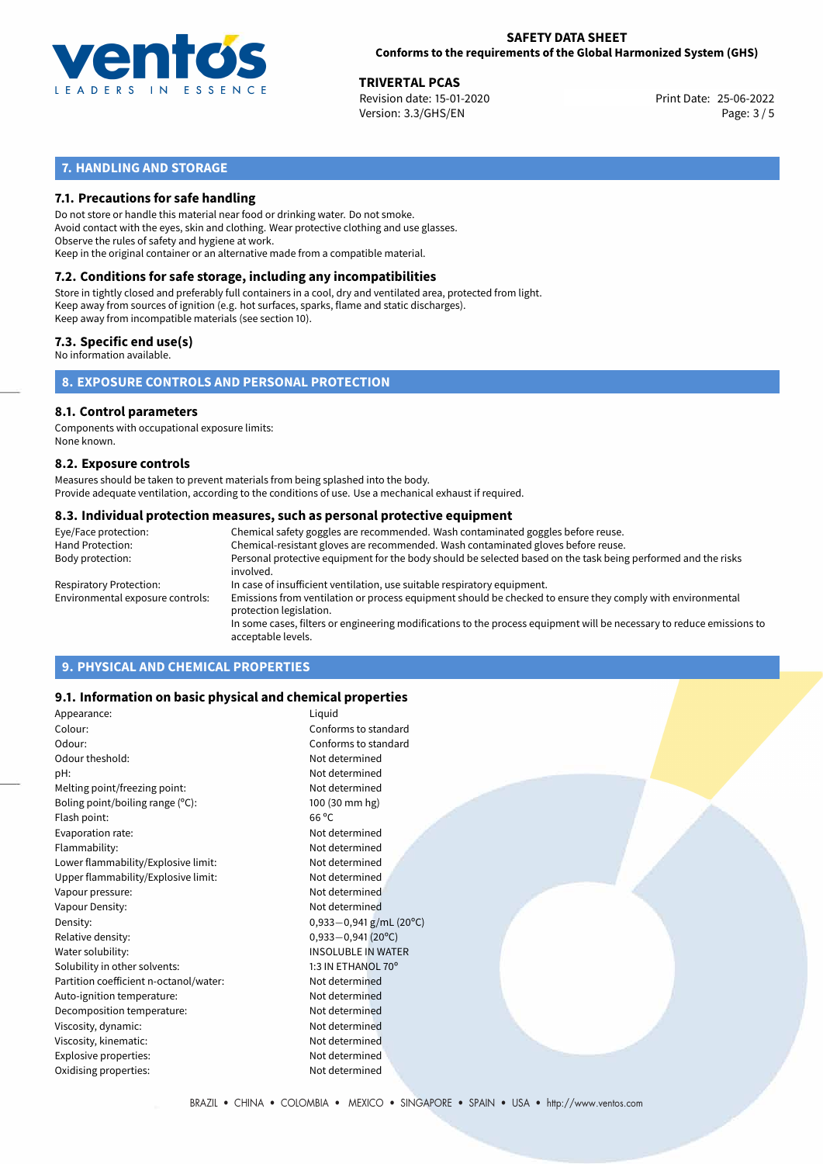

**TRIVERTAL PCAS**<br>
Revision date: 15-01-2020 **Print Date: 25-06-2022** Version: 3.3/GHS/EN Page: 3 / 5

# **7. HANDLING AND STORAGE**

# **7.1. Precautions for safe handling**

Do not store or handle this material near food or drinking water. Do not smoke. Avoid contact with the eyes, skin and clothing. Wear protective clothing and use glasses. Observe the rules of safety and hygiene at work. Keep in the original container or an alternative made from a compatible material.

# **7.2. Conditions for safe storage, including any incompatibilities**

Store in tightly closed and preferably full containers in a cool, dry and ventilated area, protected from light. Keep away from sources of ignition (e.g. hot surfaces, sparks, flame and static discharges). Keep away from incompatible materials (see section 10).

#### **7.3. Specific end use(s)**

No information available.

**8. EXPOSURE CONTROLS AND PERSONAL PROTECTION**

# **8.1. Control parameters**

Components with occupational exposure limits: None known.

#### **8.2. Exposure controls**

Measures should be taken to prevent materials from being splashed into the body. Provide adequate ventilation, according to the conditions of use. Use a mechanical exhaust if required.

#### **8.3. Individual protection measures, such as personal protective equipment**

| Eye/Face protection:             | Chemical safety goggles are recommended. Wash contaminated goggles before reuse.                                                            |
|----------------------------------|---------------------------------------------------------------------------------------------------------------------------------------------|
| Hand Protection:                 | Chemical-resistant gloves are recommended. Wash contaminated gloves before reuse.                                                           |
| Body protection:                 | Personal protective equipment for the body should be selected based on the task being performed and the risks<br>involved.                  |
| Respiratory Protection:          | In case of insufficient ventilation, use suitable respiratory equipment.                                                                    |
| Environmental exposure controls: | Emissions from ventilation or process equipment should be checked to ensure they comply with environmental<br>protection legislation.       |
|                                  | In some cases, filters or engineering modifications to the process equipment will be necessary to reduce emissions to<br>acceptable levels. |
|                                  |                                                                                                                                             |

# **9. PHYSICAL AND CHEMICAL PROPERTIES**

### **9.1. Information on basic physical and chemical properties**

| Appearance:                            | Liquid                       |
|----------------------------------------|------------------------------|
| Colour:                                | Conforms to standard         |
| Odour:                                 | Conforms to standard         |
| Odour theshold:                        | Not determined               |
| pH:                                    | Not determined               |
| Melting point/freezing point:          | Not determined               |
| Boling point/boiling range (°C):       | 100 (30 mm hg)               |
| Flash point:                           | $66^{\circ}$ C               |
| Evaporation rate:                      | Not determined               |
| Flammability:                          | Not determined               |
| Lower flammability/Explosive limit:    | Not determined               |
| Upper flammability/Explosive limit:    | Not determined               |
| Vapour pressure:                       | Not determined               |
| Vapour Density:                        | Not determined               |
| Density:                               | $0,933-0,941$ g/mL (20°C)    |
| Relative density:                      | $0,933 - 0,941(20^{\circ}C)$ |
| Water solubility:                      | <b>INSOLUBLE IN WATER</b>    |
| Solubility in other solvents:          | 1:3 IN ETHANOL 70°           |
| Partition coefficient n-octanol/water: | Not determined               |
| Auto-ignition temperature:             | Not determined               |
| Decomposition temperature:             | Not determined               |
| Viscosity, dynamic:                    | Not determined               |
| Viscosity, kinematic:                  | Not determined               |
| Explosive properties:                  | Not determined               |
| Oxidising properties:                  | Not determined               |
|                                        |                              |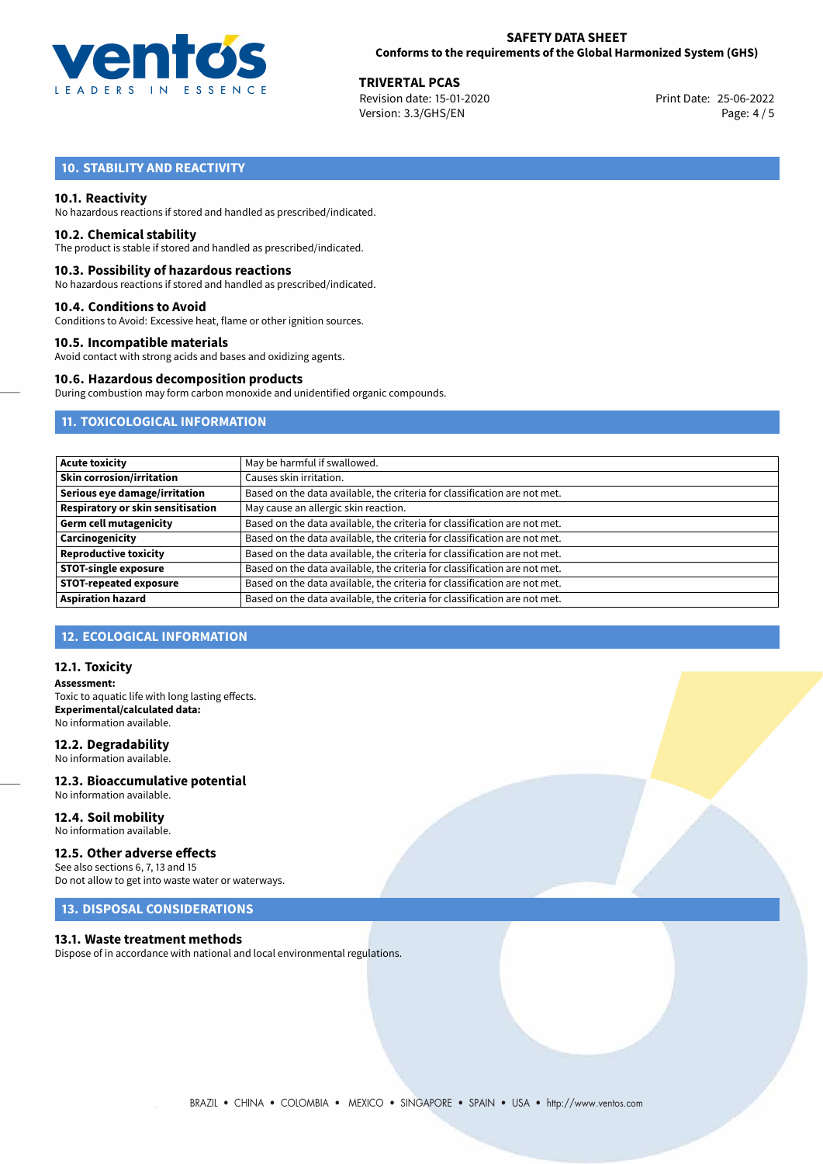

**TRIVERTAL PCAS**<br>
Revision date: 15-01-2020 **Print Date: 25-06-2022** Version: 3.3/GHS/EN Page: 4 / 5

# **10. STABILITY AND REACTIVITY**

#### **10.1. Reactivity**

No hazardous reactions if stored and handled as prescribed/indicated.

#### **10.2. Chemical stability**

The product is stable if stored and handled as prescribed/indicated.

#### **10.3. Possibility of hazardous reactions**

No hazardous reactions if stored and handled as prescribed/indicated.

#### **10.4. Conditions to Avoid**

Conditions to Avoid: Excessive heat, flame or other ignition sources.

#### **10.5. Incompatible materials**

Avoid contact with strong acids and bases and oxidizing agents.

#### **10.6. Hazardous decomposition products**

During combustion may form carbon monoxide and unidentified organic compounds.

# **11. TOXICOLOGICAL INFORMATION**

| <b>Acute toxicity</b>                    | May be harmful if swallowed.                                              |
|------------------------------------------|---------------------------------------------------------------------------|
| <b>Skin corrosion/irritation</b>         | Causes skin irritation.                                                   |
| Serious eye damage/irritation            | Based on the data available, the criteria for classification are not met. |
| <b>Respiratory or skin sensitisation</b> | May cause an allergic skin reaction.                                      |
| <b>Germ cell mutagenicity</b>            | Based on the data available, the criteria for classification are not met. |
| Carcinogenicity                          | Based on the data available, the criteria for classification are not met. |
| <b>Reproductive toxicity</b>             | Based on the data available, the criteria for classification are not met. |
| <b>STOT-single exposure</b>              | Based on the data available, the criteria for classification are not met. |
| <b>STOT-repeated exposure</b>            | Based on the data available, the criteria for classification are not met. |
| <b>Aspiration hazard</b>                 | Based on the data available, the criteria for classification are not met. |

# **12. ECOLOGICAL INFORMATION**

#### **12.1. Toxicity**

**Assessment:** Toxic to aquatic life with long lasting effects. **Experimental/calculated data:** No information available.

#### **12.2. Degradability**

No information available.

#### **12.3. Bioaccumulative potential** No information available.

**12.4. Soil mobility** No information available.

# **12.5. Other adverse effects**

See also sections 6, 7, 13 and 15 Do not allow to get into waste water or waterways.

# **13. DISPOSAL CONSIDERATIONS**

#### **13.1. Waste treatment methods**

Dispose of in accordance with national and local environmental regulations.